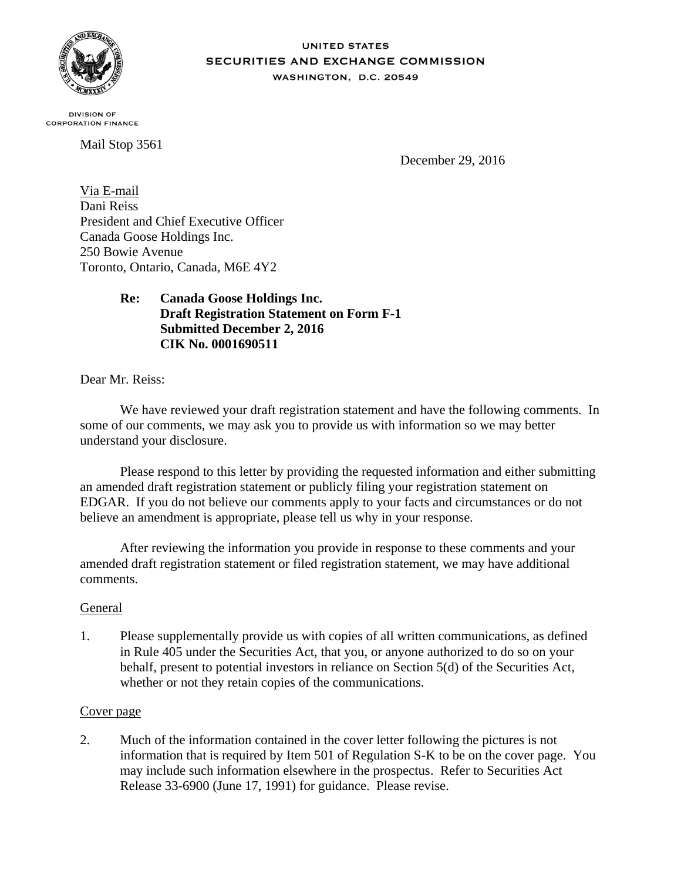

#### **UNITED STATES SECURITIES AND EXCHANGE COMMISSION** WASHINGTON, D.C. 20549

**DIVISION OF CORPORATION FINANCE** 

Mail Stop 3561

December 29, 2016

Via E-mail Dani Reiss President and Chief Executive Officer Canada Goose Holdings Inc. 250 Bowie Avenue Toronto, Ontario, Canada, M6E 4Y2

# **Re: Canada Goose Holdings Inc. Draft Registration Statement on Form F-1 Submitted December 2, 2016 CIK No. 0001690511**

Dear Mr. Reiss:

We have reviewed your draft registration statement and have the following comments. In some of our comments, we may ask you to provide us with information so we may better understand your disclosure.

Please respond to this letter by providing the requested information and either submitting an amended draft registration statement or publicly filing your registration statement on EDGAR. If you do not believe our comments apply to your facts and circumstances or do not believe an amendment is appropriate, please tell us why in your response.

After reviewing the information you provide in response to these comments and your amended draft registration statement or filed registration statement, we may have additional comments.

# General

1. Please supplementally provide us with copies of all written communications, as defined in Rule 405 under the Securities Act, that you, or anyone authorized to do so on your behalf, present to potential investors in reliance on Section 5(d) of the Securities Act, whether or not they retain copies of the communications.

### Cover page

2. Much of the information contained in the cover letter following the pictures is not information that is required by Item 501 of Regulation S-K to be on the cover page. You may include such information elsewhere in the prospectus. Refer to Securities Act Release 33-6900 (June 17, 1991) for guidance. Please revise.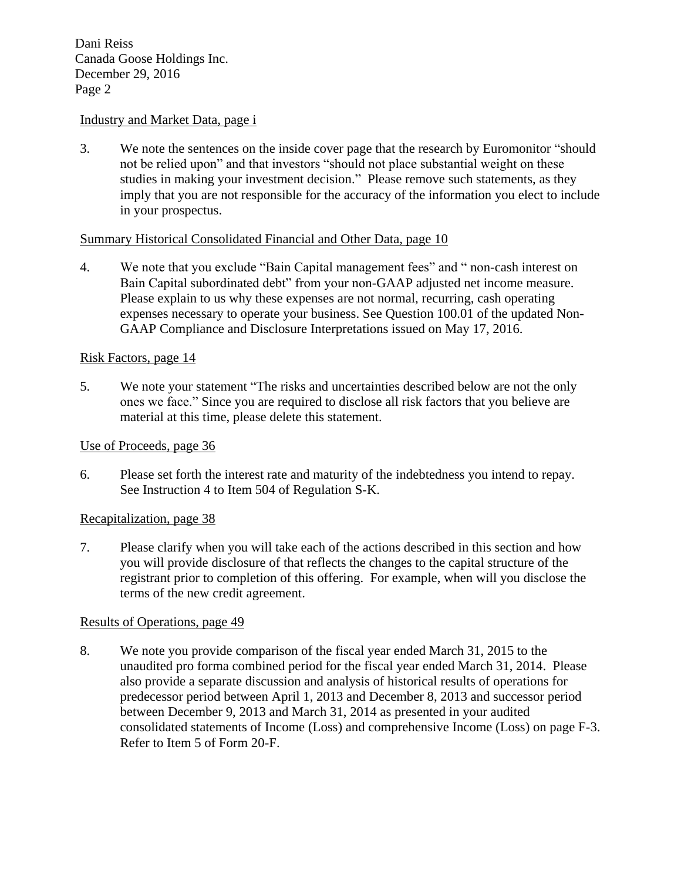### Industry and Market Data, page i

3. We note the sentences on the inside cover page that the research by Euromonitor "should not be relied upon" and that investors "should not place substantial weight on these studies in making your investment decision." Please remove such statements, as they imply that you are not responsible for the accuracy of the information you elect to include in your prospectus.

### Summary Historical Consolidated Financial and Other Data, page 10

4. We note that you exclude "Bain Capital management fees" and " non-cash interest on Bain Capital subordinated debt" from your non-GAAP adjusted net income measure. Please explain to us why these expenses are not normal, recurring, cash operating expenses necessary to operate your business. See Question 100.01 of the updated Non-GAAP Compliance and Disclosure Interpretations issued on May 17, 2016.

### Risk Factors, page 14

5. We note your statement "The risks and uncertainties described below are not the only ones we face." Since you are required to disclose all risk factors that you believe are material at this time, please delete this statement.

### Use of Proceeds, page 36

6. Please set forth the interest rate and maturity of the indebtedness you intend to repay. See Instruction 4 to Item 504 of Regulation S-K.

### Recapitalization, page 38

7. Please clarify when you will take each of the actions described in this section and how you will provide disclosure of that reflects the changes to the capital structure of the registrant prior to completion of this offering. For example, when will you disclose the terms of the new credit agreement.

### Results of Operations, page 49

8. We note you provide comparison of the fiscal year ended March 31, 2015 to the unaudited pro forma combined period for the fiscal year ended March 31, 2014. Please also provide a separate discussion and analysis of historical results of operations for predecessor period between April 1, 2013 and December 8, 2013 and successor period between December 9, 2013 and March 31, 2014 as presented in your audited consolidated statements of Income (Loss) and comprehensive Income (Loss) on page F-3. Refer to Item 5 of Form 20-F.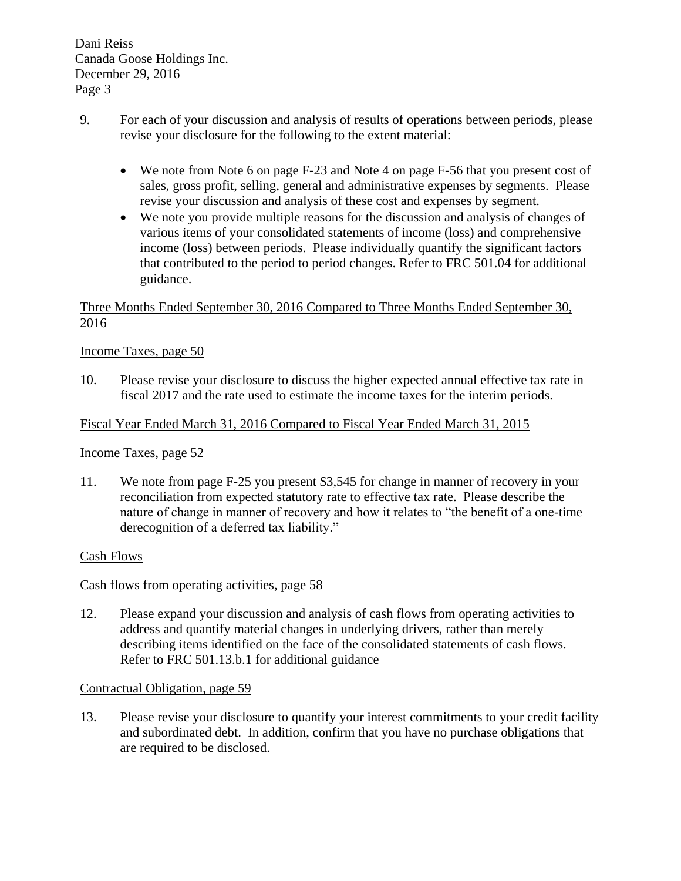- 9. For each of your discussion and analysis of results of operations between periods, please revise your disclosure for the following to the extent material:
	- We note from Note 6 on page F-23 and Note 4 on page F-56 that you present cost of sales, gross profit, selling, general and administrative expenses by segments. Please revise your discussion and analysis of these cost and expenses by segment.
	- We note you provide multiple reasons for the discussion and analysis of changes of various items of your consolidated statements of income (loss) and comprehensive income (loss) between periods. Please individually quantify the significant factors that contributed to the period to period changes. Refer to FRC 501.04 for additional guidance.

# Three Months Ended September 30, 2016 Compared to Three Months Ended September 30, 2016

# Income Taxes, page 50

10. Please revise your disclosure to discuss the higher expected annual effective tax rate in fiscal 2017 and the rate used to estimate the income taxes for the interim periods.

### Fiscal Year Ended March 31, 2016 Compared to Fiscal Year Ended March 31, 2015

### Income Taxes, page 52

11. We note from page F-25 you present \$3,545 for change in manner of recovery in your reconciliation from expected statutory rate to effective tax rate. Please describe the nature of change in manner of recovery and how it relates to "the benefit of a one-time derecognition of a deferred tax liability."

### Cash Flows

### Cash flows from operating activities, page 58

12. Please expand your discussion and analysis of cash flows from operating activities to address and quantify material changes in underlying drivers, rather than merely describing items identified on the face of the consolidated statements of cash flows. Refer to FRC 501.13.b.1 for additional guidance

### Contractual Obligation, page 59

13. Please revise your disclosure to quantify your interest commitments to your credit facility and subordinated debt. In addition, confirm that you have no purchase obligations that are required to be disclosed.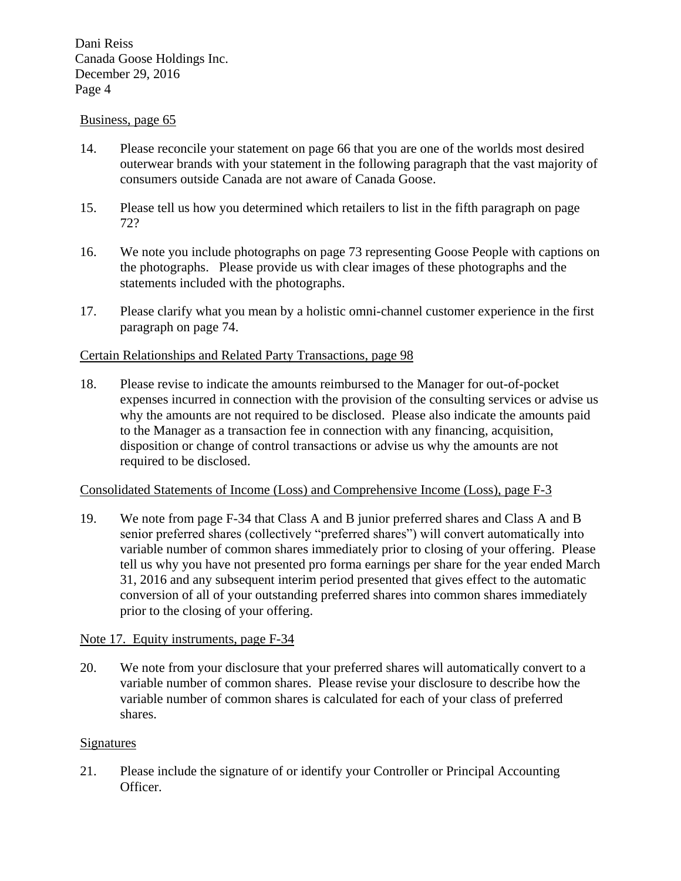### Business, page 65

- 14. Please reconcile your statement on page 66 that you are one of the worlds most desired outerwear brands with your statement in the following paragraph that the vast majority of consumers outside Canada are not aware of Canada Goose.
- 15. Please tell us how you determined which retailers to list in the fifth paragraph on page 72?
- 16. We note you include photographs on page 73 representing Goose People with captions on the photographs. Please provide us with clear images of these photographs and the statements included with the photographs.
- 17. Please clarify what you mean by a holistic omni-channel customer experience in the first paragraph on page 74.

### Certain Relationships and Related Party Transactions, page 98

18. Please revise to indicate the amounts reimbursed to the Manager for out-of-pocket expenses incurred in connection with the provision of the consulting services or advise us why the amounts are not required to be disclosed. Please also indicate the amounts paid to the Manager as a transaction fee in connection with any financing, acquisition, disposition or change of control transactions or advise us why the amounts are not required to be disclosed.

### Consolidated Statements of Income (Loss) and Comprehensive Income (Loss), page F-3

19. We note from page F-34 that Class A and B junior preferred shares and Class A and B senior preferred shares (collectively "preferred shares") will convert automatically into variable number of common shares immediately prior to closing of your offering. Please tell us why you have not presented pro forma earnings per share for the year ended March 31, 2016 and any subsequent interim period presented that gives effect to the automatic conversion of all of your outstanding preferred shares into common shares immediately prior to the closing of your offering.

### Note 17. Equity instruments, page F-34

20. We note from your disclosure that your preferred shares will automatically convert to a variable number of common shares. Please revise your disclosure to describe how the variable number of common shares is calculated for each of your class of preferred shares.

### Signatures

21. Please include the signature of or identify your Controller or Principal Accounting Officer.